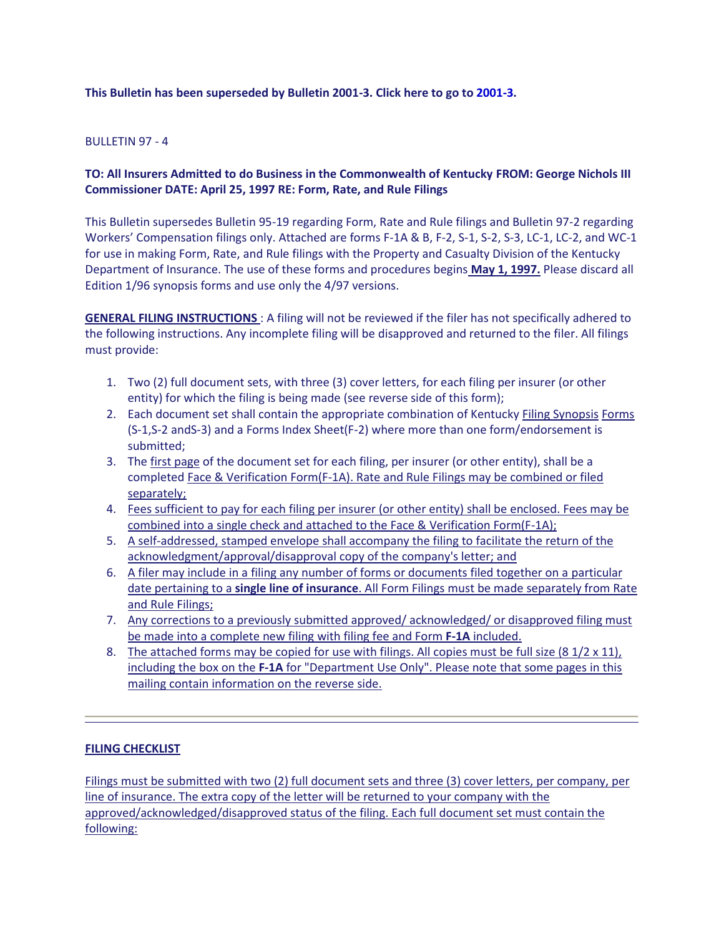## **This Bulletin has been superseded by Bulletin 2001-3. Click here to go to [2001-3.](http://doi.ppr.ky.gov/kentucky/Documents/Bulletins/bul20013.asp)**

### $B$ ULLETIN 97 - 4

# **TO: All Insurers Admitted to do Business in the Commonwealth of Kentucky FROM: George Nichols III Commissioner DATE: April 25, 1997 RE: Form, Rate, and Rule Filings**

This Bulletin supersedes Bulletin 95-19 regarding Form, Rate and Rule filings and Bulletin 97-2 regarding Workers' Compensation filings only. Attached are forms F-1A & B, F-2, S-1, S-2, S-3, LC-1, LC-2, and WC-1 for use in making Form, Rate, and Rule filings with the Property and Casualty Division of the Kentucky Department of Insurance. The use of these forms and procedures begins **May 1, 1997.** Please discard all Edition 1/96 synopsis forms and use only the 4/97 versions.

**GENERAL FILING INSTRUCTIONS** : A filing will not be reviewed if the filer has not specifically adhered to the following instructions. Any incomplete filing will be disapproved and returned to the filer. All filings must provide:

- 1. Two (2) full document sets, with three (3) cover letters, for each filing per insurer (or other entity) for which the filing is being made (see reverse side of this form);
- 2. Each document set shall contain the appropriate combination of Kentucky Filing Synopsis Forms (S-1,S-2 andS-3) and a Forms Index Sheet(F-2) where more than one form/endorsement is submitted;
- 3. The first page of the document set for each filing, per insurer (or other entity), shall be a completed Face & Verification Form(F-1A). Rate and Rule Filings may be combined or filed separately;
- 4. Fees sufficient to pay for each filing per insurer (or other entity) shall be enclosed. Fees may be combined into a single check and attached to the Face & Verification Form(F-1A);
- 5. A self-addressed, stamped envelope shall accompany the filing to facilitate the return of the acknowledgment/approval/disapproval copy of the company's letter; and
- 6. A filer may include in a filing any number of forms or documents filed together on a particular date pertaining to a **single line of insurance**. All Form Filings must be made separately from Rate and Rule Filings;
- 7. Any corrections to a previously submitted approved/ acknowledged/ or disapproved filing must be made into a complete new filing with filing fee and Form **F-1A** included.
- 8. The attached forms may be copied for use with filings. All copies must be full size (8  $1/2 \times 11$ ), including the box on the **F-1A** for "Department Use Only". Please note that some pages in this mailing contain information on the reverse side.

#### **FILING CHECKLIST**

Filings must be submitted with two (2) full document sets and three (3) cover letters, per company, per line of insurance. The extra copy of the letter will be returned to your company with the approved/acknowledged/disapproved status of the filing. Each full document set must contain the following: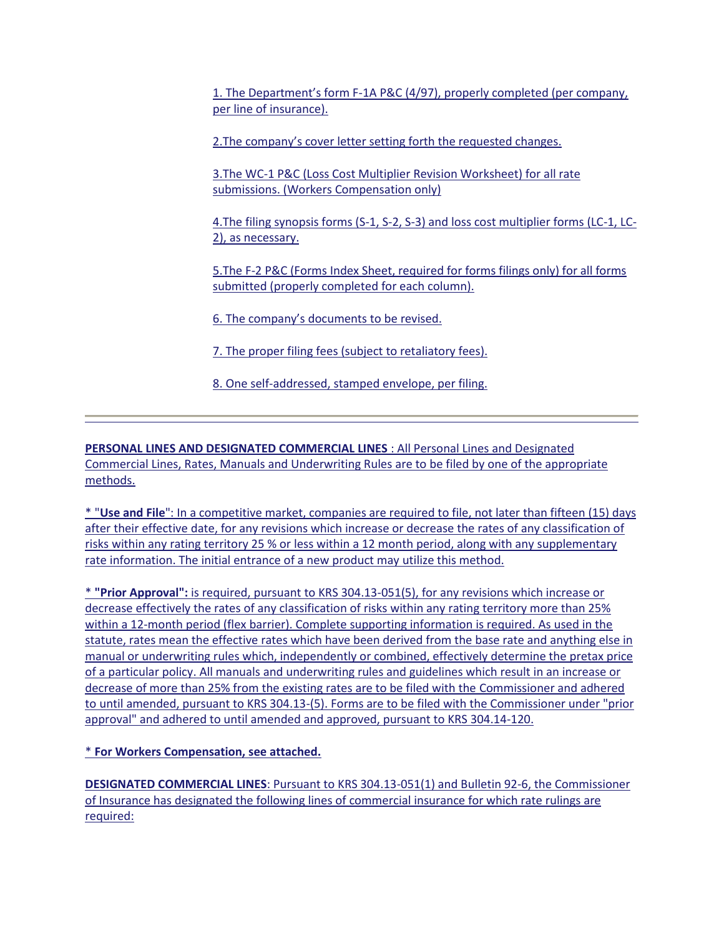1. The Department's form F-1A P&C (4/97), properly completed (per company, per line of insurance).

2.The company's cover letter setting forth the requested changes.

3.The WC-1 P&C (Loss Cost Multiplier Revision Worksheet) for all rate submissions. (Workers Compensation only)

4.The filing synopsis forms (S-1, S-2, S-3) and loss cost multiplier forms (LC-1, LC-2), as necessary.

5.The F-2 P&C (Forms Index Sheet, required for forms filings only) for all forms submitted (properly completed for each column).

6. The company's documents to be revised.

7. The proper filing fees (subject to retaliatory fees).

8. One self-addressed, stamped envelope, per filing.

**PERSONAL LINES AND DESIGNATED COMMERCIAL LINES** : All Personal Lines and Designated Commercial Lines, Rates, Manuals and Underwriting Rules are to be filed by one of the appropriate methods.

\* "**Use and File**": In a competitive market, companies are required to file, not later than fifteen (15) days after their effective date, for any revisions which increase or decrease the rates of any classification of risks within any rating territory 25 % or less within a 12 month period, along with any supplementary rate information. The initial entrance of a new product may utilize this method.

\* **"Prior Approval":** is required, pursuant to KRS 304.13-051(5), for any revisions which increase or decrease effectively the rates of any classification of risks within any rating territory more than 25% within a 12-month period (flex barrier). Complete supporting information is required. As used in the statute, rates mean the effective rates which have been derived from the base rate and anything else in manual or underwriting rules which, independently or combined, effectively determine the pretax price of a particular policy. All manuals and underwriting rules and guidelines which result in an increase or decrease of more than 25% from the existing rates are to be filed with the Commissioner and adhered to until amended, pursuant to KRS 304.13-(5). Forms are to be filed with the Commissioner under "prior approval" and adhered to until amended and approved, pursuant to KRS 304.14-120.

\* **For Workers Compensation, see attached.** 

**DESIGNATED COMMERCIAL LINES**: Pursuant to KRS 304.13-051(1) and Bulletin 92-6, the Commissioner of Insurance has designated the following lines of commercial insurance for which rate rulings are required: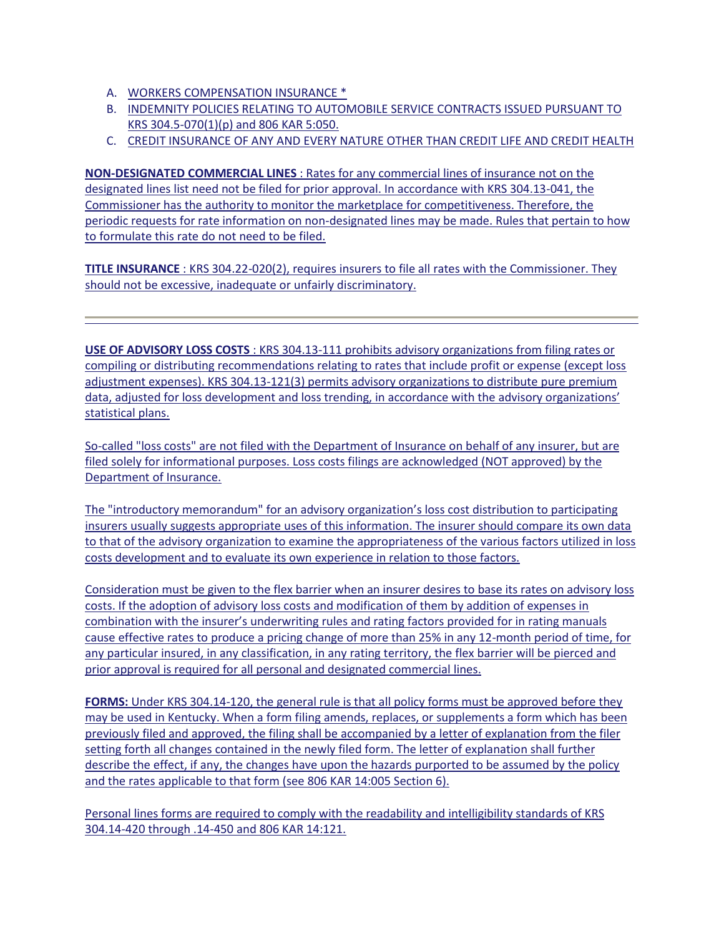- A. WORKERS COMPENSATION INSURANCE \*
- B. INDEMNITY POLICIES RELATING TO AUTOMOBILE SERVICE CONTRACTS ISSUED PURSUANT TO KRS 304.5-070(1)(p) and 806 KAR 5:050.
- C. CREDIT INSURANCE OF ANY AND EVERY NATURE OTHER THAN CREDIT LIFE AND CREDIT HEALTH

**NON-DESIGNATED COMMERCIAL LINES** : Rates for any commercial lines of insurance not on the designated lines list need not be filed for prior approval. In accordance with KRS 304.13-041, the Commissioner has the authority to monitor the marketplace for competitiveness. Therefore, the periodic requests for rate information on non-designated lines may be made. Rules that pertain to how to formulate this rate do not need to be filed.

**TITLE INSURANCE** : KRS 304.22-020(2), requires insurers to file all rates with the Commissioner. They should not be excessive, inadequate or unfairly discriminatory.

**USE OF ADVISORY LOSS COSTS** : KRS 304.13-111 prohibits advisory organizations from filing rates or compiling or distributing recommendations relating to rates that include profit or expense (except loss adjustment expenses). KRS 304.13-121(3) permits advisory organizations to distribute pure premium data, adjusted for loss development and loss trending, in accordance with the advisory organizations' statistical plans.

So-called "loss costs" are not filed with the Department of Insurance on behalf of any insurer, but are filed solely for informational purposes. Loss costs filings are acknowledged (NOT approved) by the Department of Insurance.

The "introductory memorandum" for an advisory organization's loss cost distribution to participating insurers usually suggests appropriate uses of this information. The insurer should compare its own data to that of the advisory organization to examine the appropriateness of the various factors utilized in loss costs development and to evaluate its own experience in relation to those factors.

Consideration must be given to the flex barrier when an insurer desires to base its rates on advisory loss costs. If the adoption of advisory loss costs and modification of them by addition of expenses in combination with the insurer's underwriting rules and rating factors provided for in rating manuals cause effective rates to produce a pricing change of more than 25% in any 12-month period of time, for any particular insured, in any classification, in any rating territory, the flex barrier will be pierced and prior approval is required for all personal and designated commercial lines.

**FORMS:** Under KRS 304.14-120, the general rule is that all policy forms must be approved before they may be used in Kentucky. When a form filing amends, replaces, or supplements a form which has been previously filed and approved, the filing shall be accompanied by a letter of explanation from the filer setting forth all changes contained in the newly filed form. The letter of explanation shall further describe the effect, if any, the changes have upon the hazards purported to be assumed by the policy and the rates applicable to that form (see 806 KAR 14:005 Section 6).

Personal lines forms are required to comply with the readability and intelligibility standards of KRS 304.14-420 through .14-450 and 806 KAR 14:121.